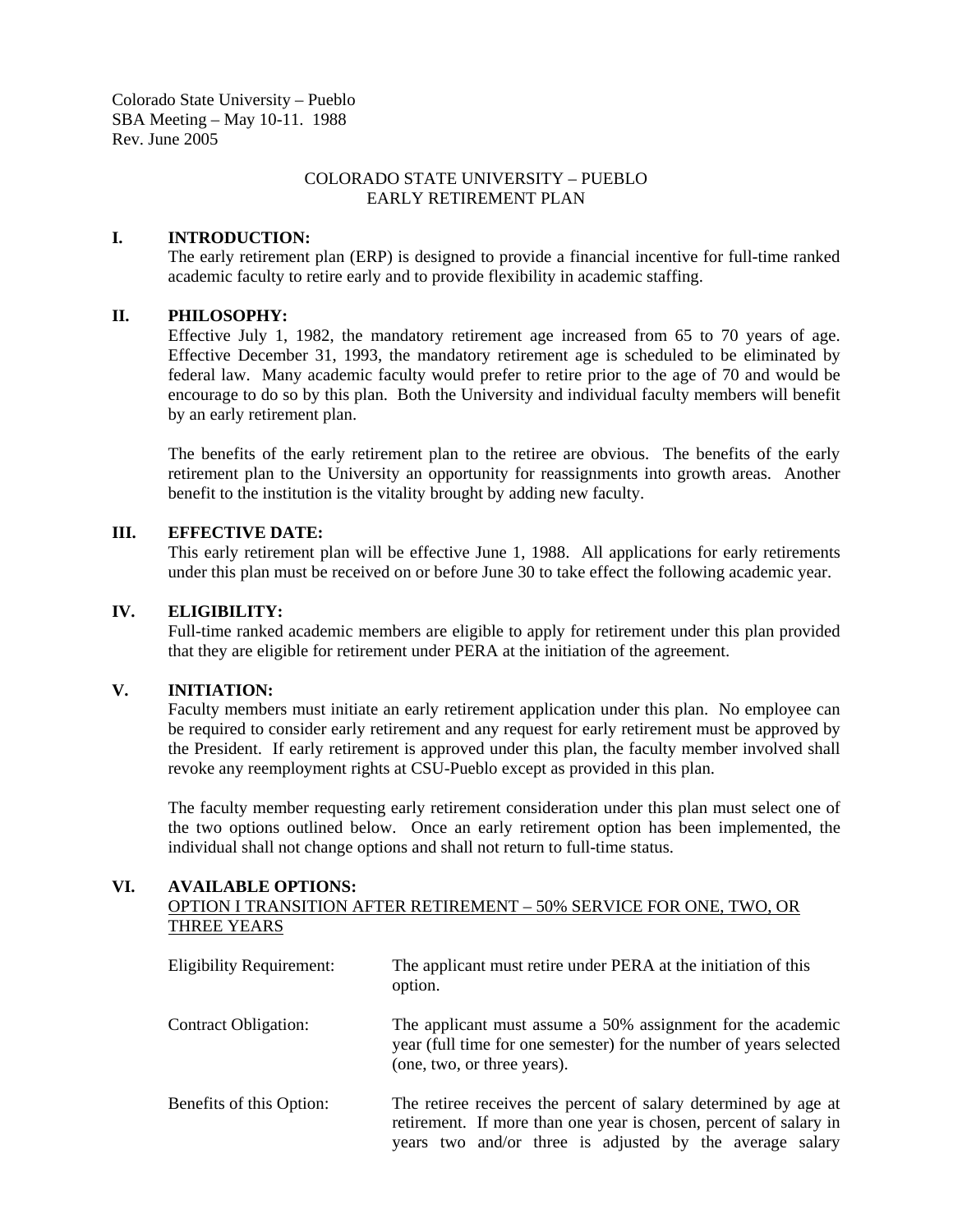Colorado State University – Pueblo SBA Meeting – May 10-11. 1988 Rev. June 2005

## COLORADO STATE UNIVERSITY – PUEBLO EARLY RETIREMENT PLAN

#### **I. INTRODUCTION:**

The early retirement plan (ERP) is designed to provide a financial incentive for full-time ranked academic faculty to retire early and to provide flexibility in academic staffing.

### **II. PHILOSOPHY:**

 Effective July 1, 1982, the mandatory retirement age increased from 65 to 70 years of age. Effective December 31, 1993, the mandatory retirement age is scheduled to be eliminated by federal law. Many academic faculty would prefer to retire prior to the age of 70 and would be encourage to do so by this plan. Both the University and individual faculty members will benefit by an early retirement plan.

 The benefits of the early retirement plan to the retiree are obvious. The benefits of the early retirement plan to the University an opportunity for reassignments into growth areas. Another benefit to the institution is the vitality brought by adding new faculty.

#### **III. EFFECTIVE DATE:**

This early retirement plan will be effective June 1, 1988. All applications for early retirements under this plan must be received on or before June 30 to take effect the following academic year.

#### **IV. ELIGIBILITY:**

Full-time ranked academic members are eligible to apply for retirement under this plan provided that they are eligible for retirement under PERA at the initiation of the agreement.

#### **V. INITIATION:**

Faculty members must initiate an early retirement application under this plan. No employee can be required to consider early retirement and any request for early retirement must be approved by the President. If early retirement is approved under this plan, the faculty member involved shall revoke any reemployment rights at CSU-Pueblo except as provided in this plan.

 The faculty member requesting early retirement consideration under this plan must select one of the two options outlined below. Once an early retirement option has been implemented, the individual shall not change options and shall not return to full-time status.

### **VI. AVAILABLE OPTIONS:**

## OPTION I TRANSITION AFTER RETIREMENT – 50% SERVICE FOR ONE, TWO, OR THREE YEARS

| <b>Eligibility Requirement:</b> | The applicant must retire under PERA at the initiation of this<br>option.                                                                                                                        |
|---------------------------------|--------------------------------------------------------------------------------------------------------------------------------------------------------------------------------------------------|
| <b>Contract Obligation:</b>     | The applicant must assume a 50% assignment for the academic<br>year (full time for one semester) for the number of years selected<br>(one, two, or three years).                                 |
| Benefits of this Option:        | The retiree receives the percent of salary determined by age at<br>retirement. If more than one year is chosen, percent of salary in<br>years two and/or three is adjusted by the average salary |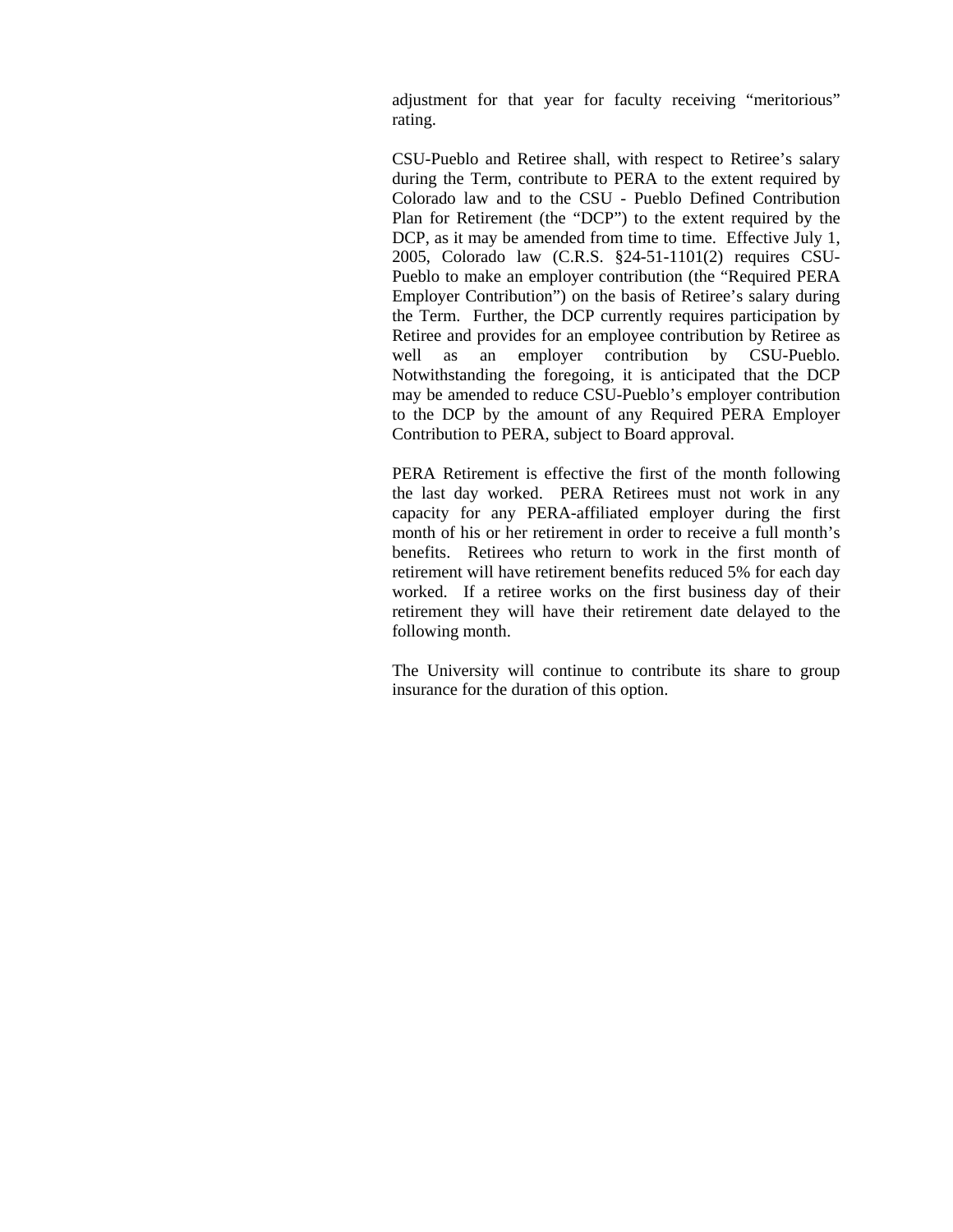adjustment for that year for faculty receiving "meritorious" rating.

CSU-Pueblo and Retiree shall, with respect to Retiree's salary during the Term, contribute to PERA to the extent required by Colorado law and to the CSU - Pueblo Defined Contribution Plan for Retirement (the "DCP") to the extent required by the DCP, as it may be amended from time to time. Effective July 1, 2005, Colorado law (C.R.S. §24-51-1101(2) requires CSU-Pueblo to make an employer contribution (the "Required PERA Employer Contribution") on the basis of Retiree's salary during the Term. Further, the DCP currently requires participation by Retiree and provides for an employee contribution by Retiree as well as an employer contribution by CSU-Pueblo. Notwithstanding the foregoing, it is anticipated that the DCP may be amended to reduce CSU-Pueblo's employer contribution to the DCP by the amount of any Required PERA Employer Contribution to PERA, subject to Board approval.

PERA Retirement is effective the first of the month following the last day worked. PERA Retirees must not work in any capacity for any PERA-affiliated employer during the first month of his or her retirement in order to receive a full month's benefits. Retirees who return to work in the first month of retirement will have retirement benefits reduced 5% for each day worked. If a retiree works on the first business day of their retirement they will have their retirement date delayed to the following month.

The University will continue to contribute its share to group insurance for the duration of this option.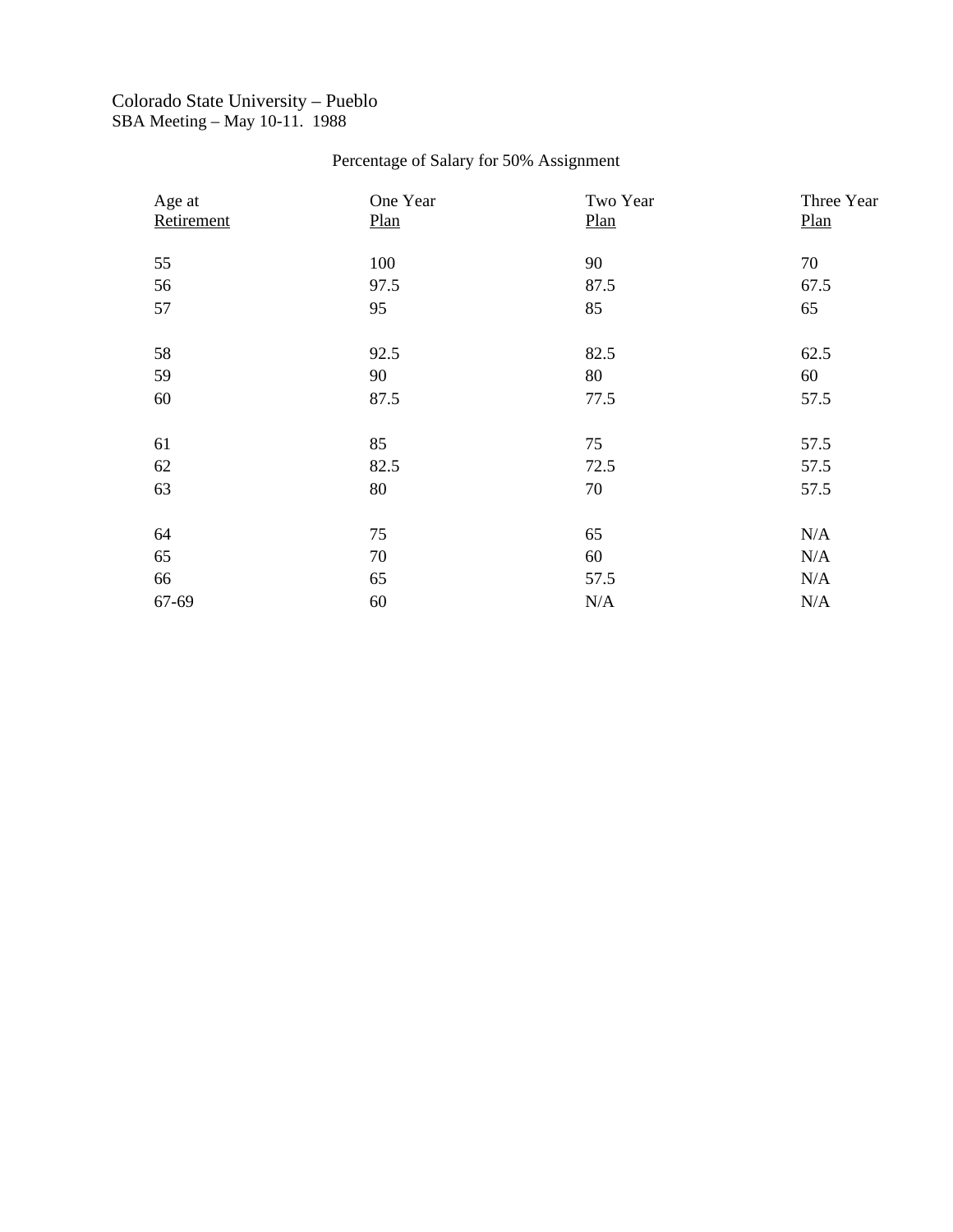## Colorado State University – Pueblo SBA Meeting – May 10-11. 1988

# Percentage of Salary for 50% Assignment

| Age at     | One Year | Two Year | Three Year |
|------------|----------|----------|------------|
| Retirement | Plan     | Plan     | Plan       |
| 55         | 100      | 90       | 70         |
| 56         | 97.5     | 87.5     | 67.5       |
| 57         | 95       | 85       | 65         |
|            |          |          |            |
| 58         | 92.5     | 82.5     | 62.5       |
| 59         | 90       | 80       | 60         |
| 60         | 87.5     | 77.5     | 57.5       |
|            |          |          |            |
| 61         | 85       | 75       | 57.5       |
| 62         | 82.5     | 72.5     | 57.5       |
| 63         | 80       | 70       | 57.5       |
|            |          |          |            |
| 64         | 75       | 65       | N/A        |
| 65         | 70       | 60       | N/A        |
| 66         | 65       | 57.5     | N/A        |
| 67-69      | 60       | N/A      | N/A        |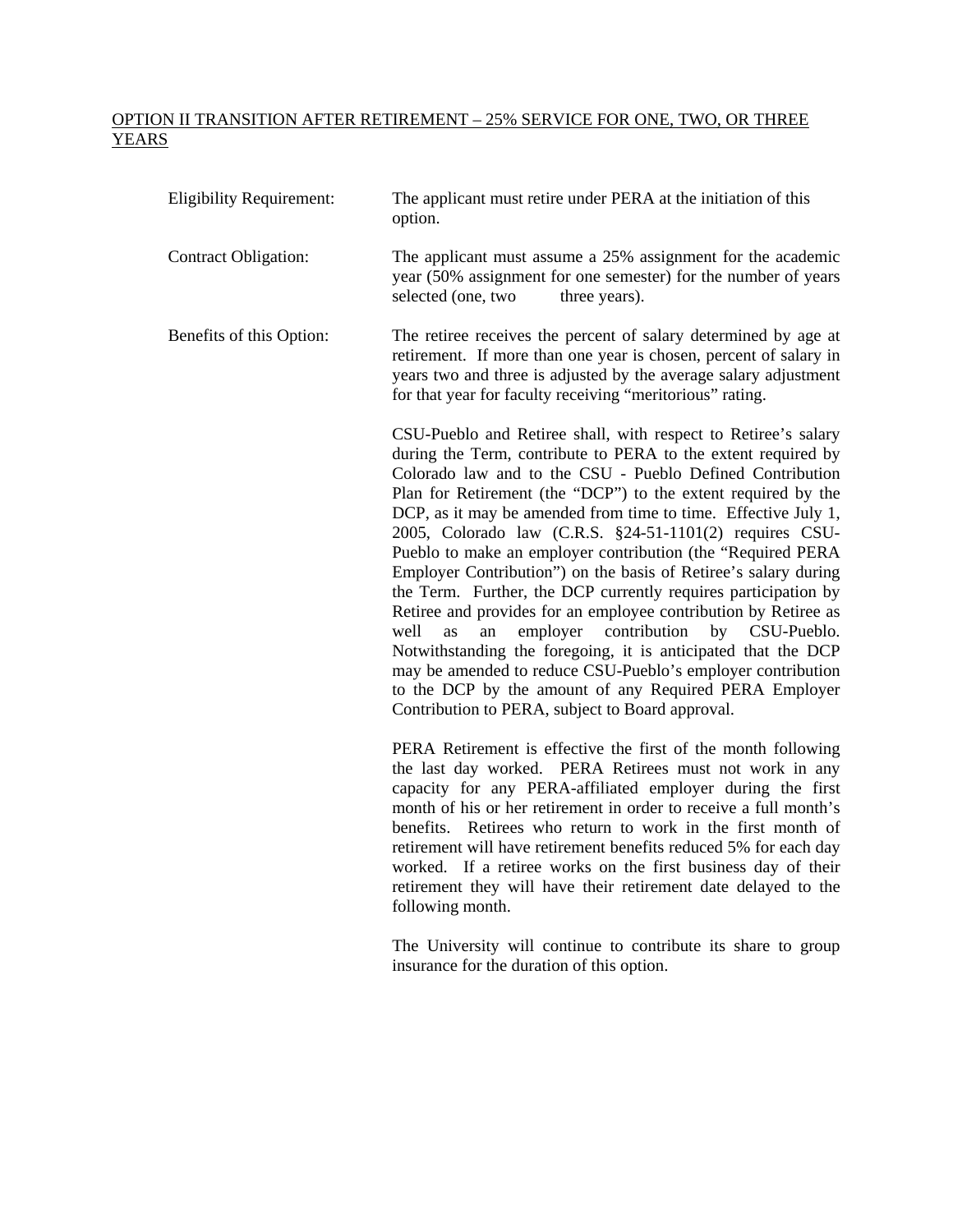## OPTION II TRANSITION AFTER RETIREMENT – 25% SERVICE FOR ONE, TWO, OR THREE YEARS

| <b>Eligibility Requirement:</b> | The applicant must retire under PERA at the initiation of this<br>option.                                                                                                                                                                                                                                                                                                                                                                                                                                                                                                                                                                                                                                                                                                                                                                                                                                                                                                       |
|---------------------------------|---------------------------------------------------------------------------------------------------------------------------------------------------------------------------------------------------------------------------------------------------------------------------------------------------------------------------------------------------------------------------------------------------------------------------------------------------------------------------------------------------------------------------------------------------------------------------------------------------------------------------------------------------------------------------------------------------------------------------------------------------------------------------------------------------------------------------------------------------------------------------------------------------------------------------------------------------------------------------------|
| <b>Contract Obligation:</b>     | The applicant must assume a 25% assignment for the academic<br>year (50% assignment for one semester) for the number of years<br>selected (one, two<br>three years).                                                                                                                                                                                                                                                                                                                                                                                                                                                                                                                                                                                                                                                                                                                                                                                                            |
| Benefits of this Option:        | The retiree receives the percent of salary determined by age at<br>retirement. If more than one year is chosen, percent of salary in<br>years two and three is adjusted by the average salary adjustment<br>for that year for faculty receiving "meritorious" rating.                                                                                                                                                                                                                                                                                                                                                                                                                                                                                                                                                                                                                                                                                                           |
|                                 | CSU-Pueblo and Retiree shall, with respect to Retiree's salary<br>during the Term, contribute to PERA to the extent required by<br>Colorado law and to the CSU - Pueblo Defined Contribution<br>Plan for Retirement (the "DCP") to the extent required by the<br>DCP, as it may be amended from time to time. Effective July 1,<br>2005, Colorado law (C.R.S. §24-51-1101(2) requires CSU-<br>Pueblo to make an employer contribution (the "Required PERA"<br>Employer Contribution") on the basis of Retiree's salary during<br>the Term. Further, the DCP currently requires participation by<br>Retiree and provides for an employee contribution by Retiree as<br>employer<br>contribution by CSU-Pueblo.<br>well<br>as<br>an<br>Notwithstanding the foregoing, it is anticipated that the DCP<br>may be amended to reduce CSU-Pueblo's employer contribution<br>to the DCP by the amount of any Required PERA Employer<br>Contribution to PERA, subject to Board approval. |
|                                 | PERA Retirement is effective the first of the month following<br>the last day worked. PERA Retirees must not work in any<br>capacity for any PERA-affiliated employer during the first<br>month of his or her retirement in order to receive a full month's<br>benefits. Retirees who return to work in the first month of<br>retirement will have retirement benefits reduced 5% for each day<br>worked. If a retiree works on the first business day of their<br>retirement they will have their retirement date delayed to the                                                                                                                                                                                                                                                                                                                                                                                                                                               |

following month.

The University will continue to contribute its share to group insurance for the duration of this option.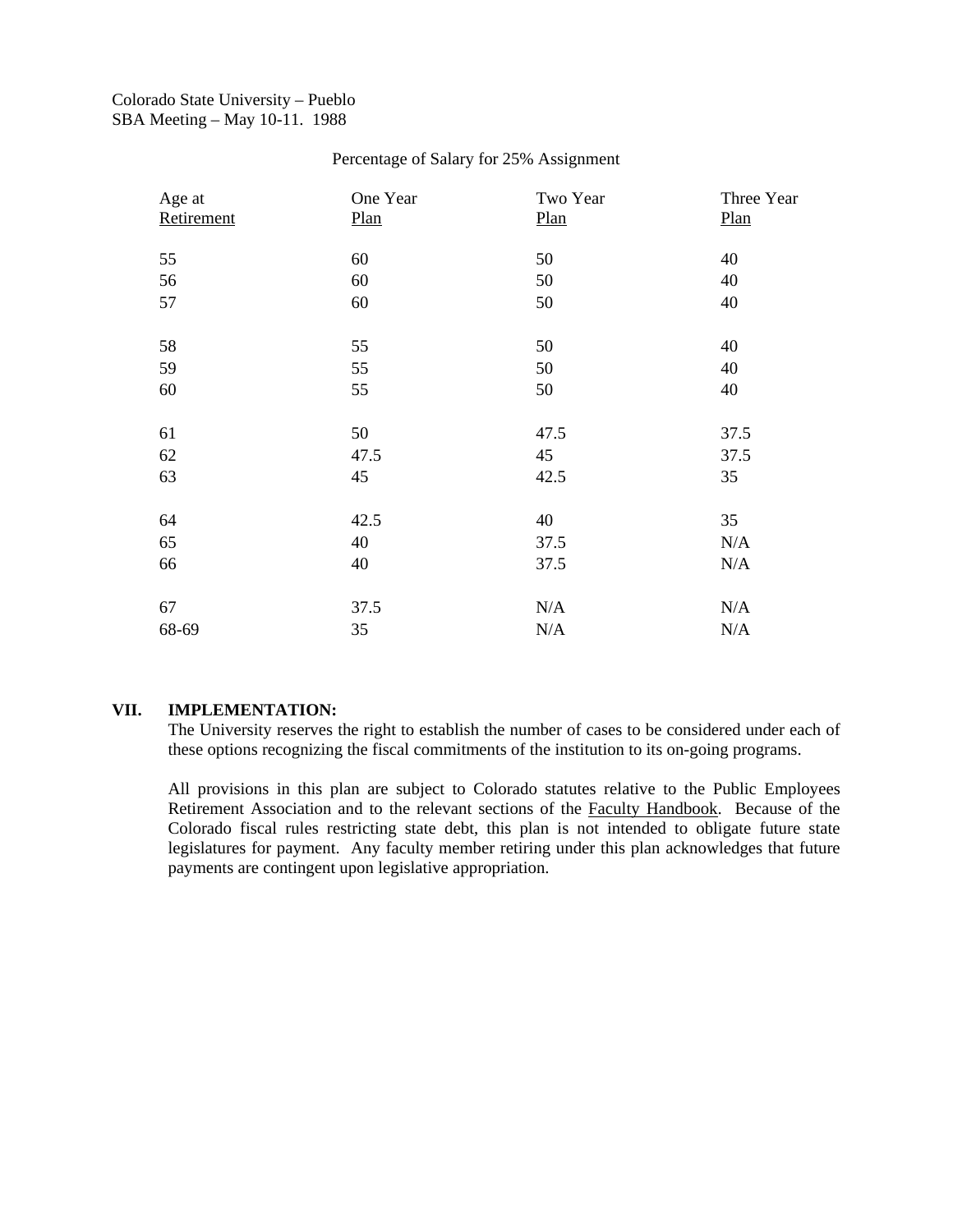## Colorado State University – Pueblo SBA Meeting – May 10-11. 1988

#### Percentage of Salary for 25% Assignment

| Age at<br>Retirement | One Year<br>Plan | Two Year<br>Plan | Three Year<br>Plan |
|----------------------|------------------|------------------|--------------------|
|                      |                  |                  |                    |
| 55                   | 60               | 50               | 40                 |
| 56                   | 60               | 50               | 40                 |
| 57                   | 60               | 50               | 40                 |
|                      |                  |                  |                    |
| 58                   | 55               | 50               | 40                 |
| 59                   | 55               | 50               | 40                 |
| 60                   | 55               | 50               | 40                 |
|                      |                  |                  |                    |
| 61                   | 50               | 47.5             | 37.5               |
| 62                   | 47.5             | 45               | 37.5               |
| 63                   | 45               | 42.5             | 35                 |
|                      |                  |                  |                    |
| 64                   | 42.5             | 40               | 35                 |
| 65                   | 40               | 37.5             | N/A                |
| 66                   | 40               | 37.5             | N/A                |
|                      |                  |                  |                    |
| 67                   | 37.5             | N/A              | N/A                |
| 68-69                | 35               | N/A              | N/A                |

## **VII. IMPLEMENTATION:**

The University reserves the right to establish the number of cases to be considered under each of these options recognizing the fiscal commitments of the institution to its on-going programs.

All provisions in this plan are subject to Colorado statutes relative to the Public Employees Retirement Association and to the relevant sections of the Faculty Handbook. Because of the Colorado fiscal rules restricting state debt, this plan is not intended to obligate future state legislatures for payment. Any faculty member retiring under this plan acknowledges that future payments are contingent upon legislative appropriation.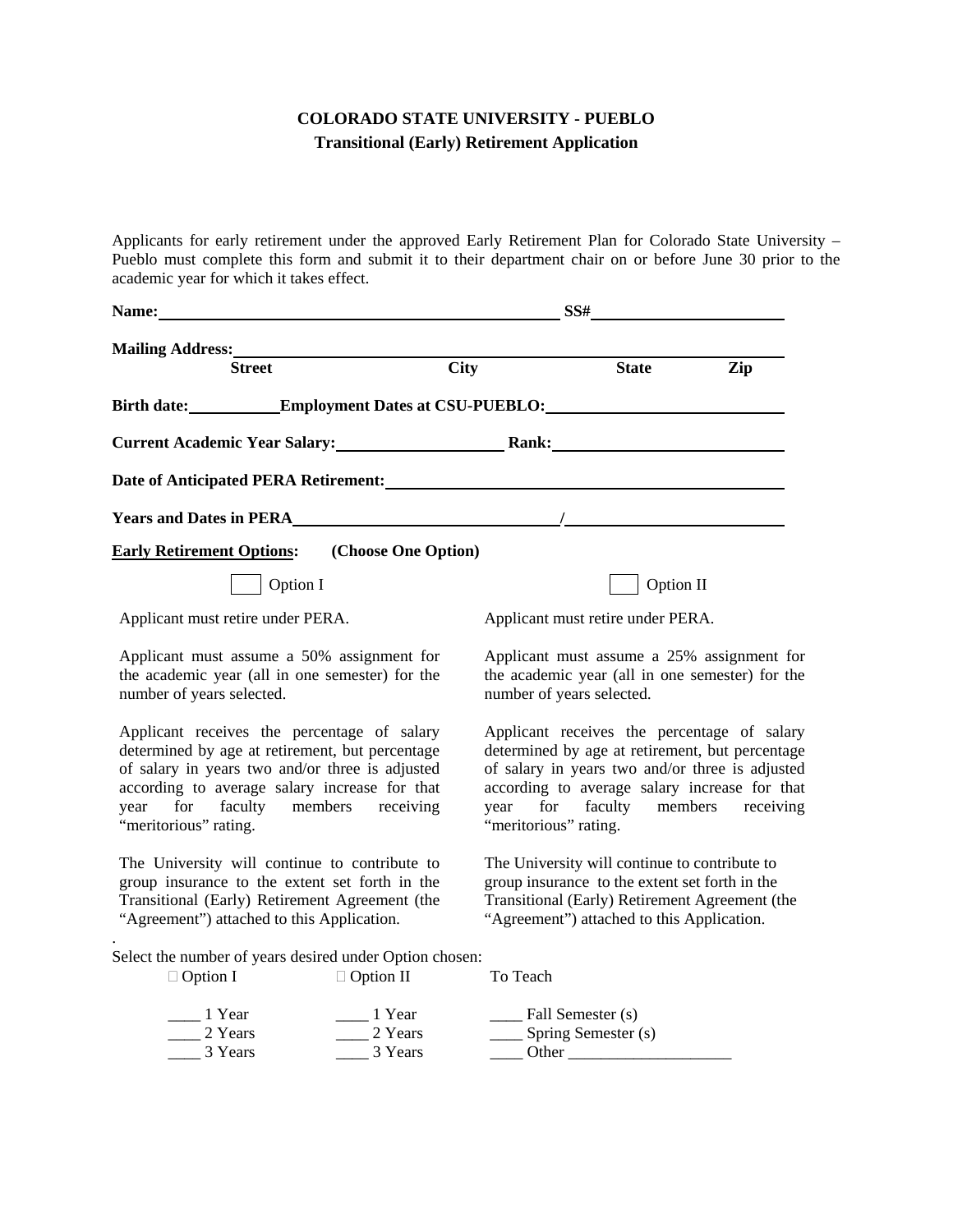## **COLORADO STATE UNIVERSITY - PUEBLO Transitional (Early) Retirement Application**

Applicants for early retirement under the approved Early Retirement Plan for Colorado State University – Pueblo must complete this form and submit it to their department chair on or before June 30 prior to the academic year for which it takes effect.

| Name:                                                                                                                                                                                                                                                             |                                                                                               |                     | SS#                                                                                                                                                                                                                                                                  |                                   |                                                                                               |
|-------------------------------------------------------------------------------------------------------------------------------------------------------------------------------------------------------------------------------------------------------------------|-----------------------------------------------------------------------------------------------|---------------------|----------------------------------------------------------------------------------------------------------------------------------------------------------------------------------------------------------------------------------------------------------------------|-----------------------------------|-----------------------------------------------------------------------------------------------|
|                                                                                                                                                                                                                                                                   | Mailing Address: Mailing Address:                                                             |                     |                                                                                                                                                                                                                                                                      |                                   |                                                                                               |
|                                                                                                                                                                                                                                                                   | <b>Street</b>                                                                                 | <b>City</b>         |                                                                                                                                                                                                                                                                      | <b>State</b>                      | Zip                                                                                           |
|                                                                                                                                                                                                                                                                   | Birth date: Employment Dates at CSU-PUEBLO:                                                   |                     |                                                                                                                                                                                                                                                                      |                                   |                                                                                               |
| Current Academic Year Salary: Rank: Rank:                                                                                                                                                                                                                         |                                                                                               |                     |                                                                                                                                                                                                                                                                      |                                   |                                                                                               |
|                                                                                                                                                                                                                                                                   |                                                                                               |                     |                                                                                                                                                                                                                                                                      |                                   |                                                                                               |
|                                                                                                                                                                                                                                                                   | <b>Years and Dates in PERA</b> PERA                                                           |                     |                                                                                                                                                                                                                                                                      |                                   |                                                                                               |
| <b>Early Retirement Options:</b>                                                                                                                                                                                                                                  |                                                                                               | (Choose One Option) |                                                                                                                                                                                                                                                                      |                                   |                                                                                               |
|                                                                                                                                                                                                                                                                   | Option I                                                                                      |                     |                                                                                                                                                                                                                                                                      | Option II                         |                                                                                               |
| Applicant must retire under PERA.                                                                                                                                                                                                                                 |                                                                                               |                     |                                                                                                                                                                                                                                                                      | Applicant must retire under PERA. |                                                                                               |
| number of years selected.                                                                                                                                                                                                                                         | Applicant must assume a 50% assignment for<br>the academic year (all in one semester) for the |                     | number of years selected.                                                                                                                                                                                                                                            |                                   | Applicant must assume a 25% assignment for<br>the academic year (all in one semester) for the |
| Applicant receives the percentage of salary<br>determined by age at retirement, but percentage<br>of salary in years two and/or three is adjusted<br>according to average salary increase for that<br>year for faculty members receiving<br>"meritorious" rating. |                                                                                               |                     | Applicant receives the percentage of salary<br>determined by age at retirement, but percentage<br>of salary in years two and/or three is adjusted<br>according to average salary increase for that<br>for faculty members receiving<br>year<br>"meritorious" rating. |                                   |                                                                                               |
| The University will continue to contribute to<br>group insurance to the extent set forth in the<br>Transitional (Early) Retirement Agreement (the<br>"Agreement") attached to this Application.                                                                   |                                                                                               |                     | The University will continue to contribute to<br>group insurance to the extent set forth in the<br>Transitional (Early) Retirement Agreement (the<br>"Agreement") attached to this Application.                                                                      |                                   |                                                                                               |
|                                                                                                                                                                                                                                                                   | Select the number of years desired under Option chosen:                                       |                     |                                                                                                                                                                                                                                                                      |                                   |                                                                                               |
| $\Box$ Option I                                                                                                                                                                                                                                                   | $\Box$ Option II                                                                              |                     | To Teach                                                                                                                                                                                                                                                             |                                   |                                                                                               |
| 1 Year                                                                                                                                                                                                                                                            | $\frac{1}{2}$ Year                                                                            |                     | $\frac{1}{2}$ Fall Semester (s)                                                                                                                                                                                                                                      |                                   |                                                                                               |
| $\frac{2 \text{ Years}}{2}$                                                                                                                                                                                                                                       |                                                                                               | 2 Years             | ____ Spring Semester (s)                                                                                                                                                                                                                                             |                                   |                                                                                               |
| 3 Years<br>3 Years                                                                                                                                                                                                                                                |                                                                                               |                     | Other                                                                                                                                                                                                                                                                |                                   |                                                                                               |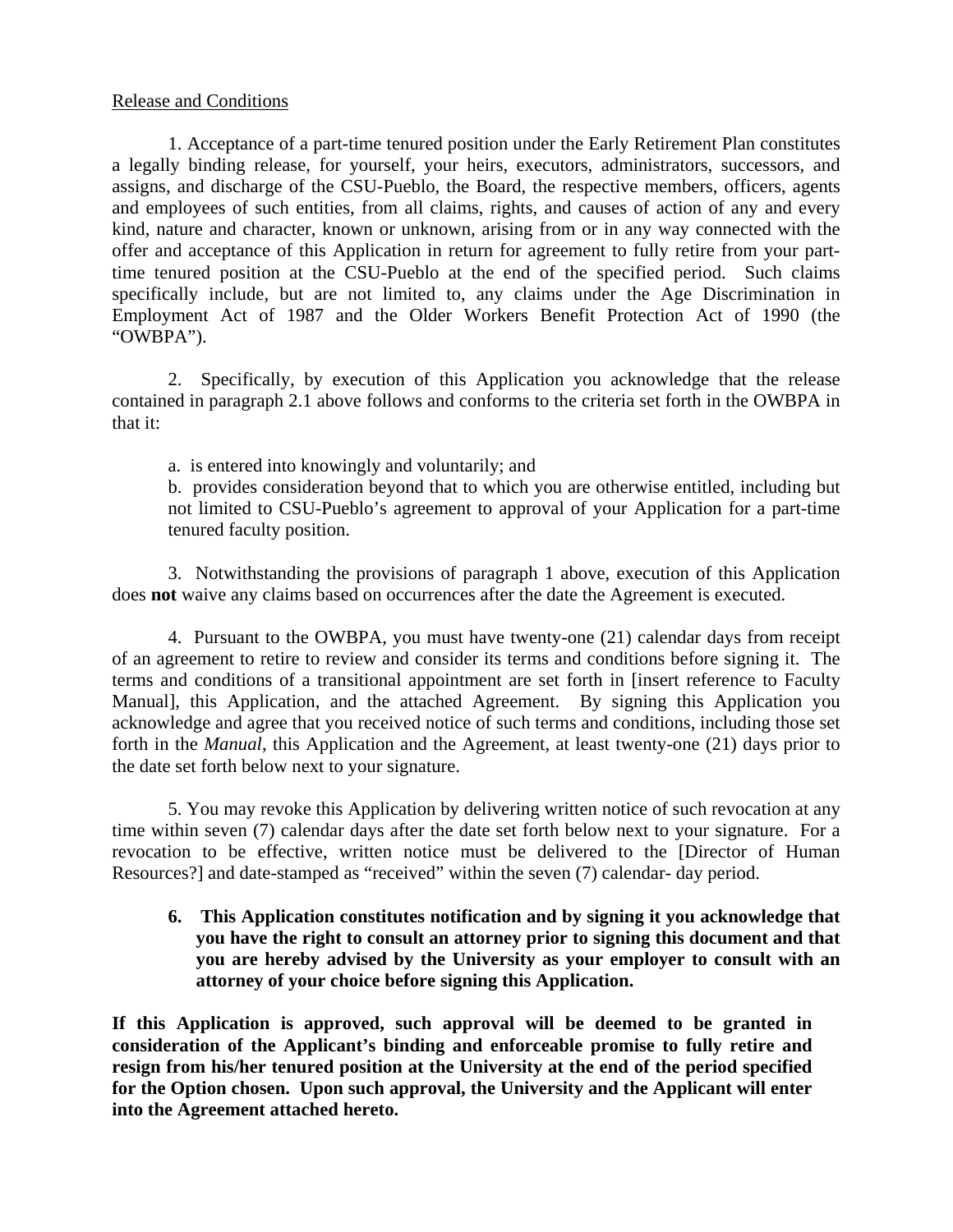## Release and Conditions

 1. Acceptance of a part-time tenured position under the Early Retirement Plan constitutes a legally binding release, for yourself, your heirs, executors, administrators, successors, and assigns, and discharge of the CSU-Pueblo, the Board, the respective members, officers, agents and employees of such entities, from all claims, rights, and causes of action of any and every kind, nature and character, known or unknown, arising from or in any way connected with the offer and acceptance of this Application in return for agreement to fully retire from your parttime tenured position at the CSU-Pueblo at the end of the specified period. Such claims specifically include, but are not limited to, any claims under the Age Discrimination in Employment Act of 1987 and the Older Workers Benefit Protection Act of 1990 (the "OWBPA").

2. Specifically, by execution of this Application you acknowledge that the release contained in paragraph 2.1 above follows and conforms to the criteria set forth in the OWBPA in that it:

a. is entered into knowingly and voluntarily; and

b. provides consideration beyond that to which you are otherwise entitled, including but not limited to CSU-Pueblo's agreement to approval of your Application for a part-time tenured faculty position.

 3. Notwithstanding the provisions of paragraph 1 above, execution of this Application does **not** waive any claims based on occurrences after the date the Agreement is executed.

 4. Pursuant to the OWBPA, you must have twenty-one (21) calendar days from receipt of an agreement to retire to review and consider its terms and conditions before signing it. The terms and conditions of a transitional appointment are set forth in [insert reference to Faculty Manual], this Application, and the attached Agreement. By signing this Application you acknowledge and agree that you received notice of such terms and conditions, including those set forth in the *Manual*, this Application and the Agreement, at least twenty-one (21) days prior to the date set forth below next to your signature.

 5. You may revoke this Application by delivering written notice of such revocation at any time within seven (7) calendar days after the date set forth below next to your signature. For a revocation to be effective, written notice must be delivered to the [Director of Human Resources?] and date-stamped as "received" within the seven (7) calendar- day period.

**6. This Application constitutes notification and by signing it you acknowledge that you have the right to consult an attorney prior to signing this document and that you are hereby advised by the University as your employer to consult with an attorney of your choice before signing this Application.** 

**If this Application is approved, such approval will be deemed to be granted in consideration of the Applicant's binding and enforceable promise to fully retire and resign from his/her tenured position at the University at the end of the period specified for the Option chosen. Upon such approval, the University and the Applicant will enter into the Agreement attached hereto.**